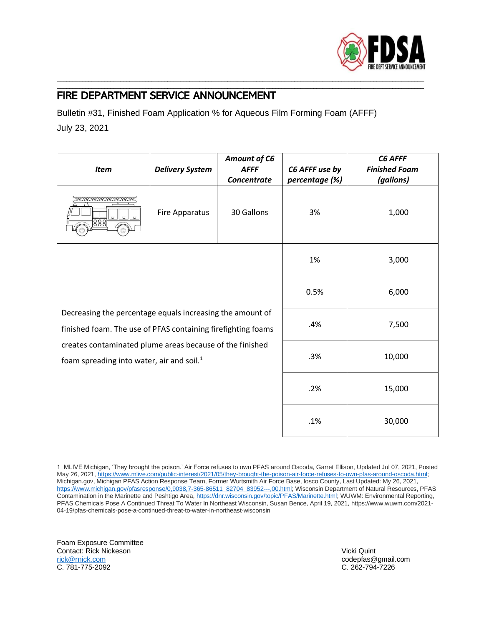

## FIRE DEPARTMENT SERVICE ANNOUNCEMENT

Bulletin #31, Finished Foam Application % for Aqueous Film Forming Foam (AFFF) July 23, 2021

\_\_\_\_\_\_\_\_\_\_\_\_\_\_\_\_\_\_\_\_\_\_\_\_\_\_\_\_\_\_\_\_\_\_\_\_\_\_\_\_\_\_\_\_\_\_\_\_\_\_\_\_\_\_\_\_\_\_\_\_\_\_\_\_\_\_\_\_\_\_\_\_\_\_\_\_\_\_\_\_\_\_\_\_\_\_\_\_\_\_\_\_\_\_\_\_\_\_\_\_\_\_\_\_\_\_\_\_\_\_\_\_\_\_\_\_ \_\_\_\_\_\_\_\_\_\_\_\_\_\_\_\_\_\_\_\_\_\_\_\_\_\_\_\_\_\_\_\_\_\_\_\_\_\_\_\_\_\_\_\_\_\_\_\_\_\_\_\_\_\_\_\_\_\_\_\_\_\_\_\_\_\_\_\_\_\_\_\_\_\_\_\_\_\_\_\_\_\_\_\_\_\_\_\_\_\_\_\_\_\_\_\_\_\_\_\_\_\_\_\_\_\_\_\_\_\_\_\_\_\_\_\_

| <b>Item</b>                                                                                                                                                                                                                           | <b>Delivery System</b> | Amount of C6<br><b>AFFF</b><br><b>Concentrate</b> | C6 AFFF use by<br>percentage (%) | C6 AFFF<br><b>Finished Foam</b><br>(gallons) |
|---------------------------------------------------------------------------------------------------------------------------------------------------------------------------------------------------------------------------------------|------------------------|---------------------------------------------------|----------------------------------|----------------------------------------------|
| <u> HHANA</u><br>888                                                                                                                                                                                                                  | Fire Apparatus         | 30 Gallons                                        | 3%                               | 1,000                                        |
|                                                                                                                                                                                                                                       |                        |                                                   | 1%                               | 3,000                                        |
| Decreasing the percentage equals increasing the amount of<br>finished foam. The use of PFAS containing firefighting foams<br>creates contaminated plume areas because of the finished<br>foam spreading into water, air and soil. $1$ |                        |                                                   | 0.5%                             | 6,000                                        |
|                                                                                                                                                                                                                                       |                        |                                                   | .4%                              | 7,500                                        |
|                                                                                                                                                                                                                                       |                        |                                                   | .3%                              | 10,000                                       |
|                                                                                                                                                                                                                                       |                        |                                                   | .2%                              | 15,000                                       |
|                                                                                                                                                                                                                                       |                        |                                                   | .1%                              | 30,000                                       |

1 MLIVE Michigan, 'They brought the poison.' Air Force refuses to own PFAS around Oscoda, Garret Ellison, Updated Jul 07, 2021, Posted May 26, 2021, https://www.mlive.com/public-interest/2021/05/they-brought-the-poison-air-force-refuses-to-own-pfas-around-oscoda.html; Michigan.gov, Michigan PFAS Action Response Team, Former Wurtsmith Air Force Base, Iosco County, Last Updated: My 26, 2021, [https://www.michigan.gov/pfasresponse/0,9038,7-365-86511\\_82704\\_83952---,00.html;](https://www.michigan.gov/pfasresponse/0,9038,7-365-86511_82704_83952---,00.html) Wisconsin Department of Natural Resources, PFAS Contamination in the Marinette and Peshtigo Area[, https://dnr.wisconsin.gov/topic/PFAS/Marinette.html;](https://dnr.wisconsin.gov/topic/PFAS/Marinette.html) WUWM: Environmental Reporting, PFAS Chemicals Pose A Continued Threat To Water In Northeast Wisconsin, Susan Bence, April 19, 2021, https://www.wuwm.com/2021- 04-19/pfas-chemicals-pose-a-continued-threat-to-water-in-northeast-wisconsin

Foam Exposure Committee Contact: Rick Nickeson Vicki Quint [rick@rnick.com](mailto:rick@rnick.com) codepfas@gmail.com

C. 262-794-7226